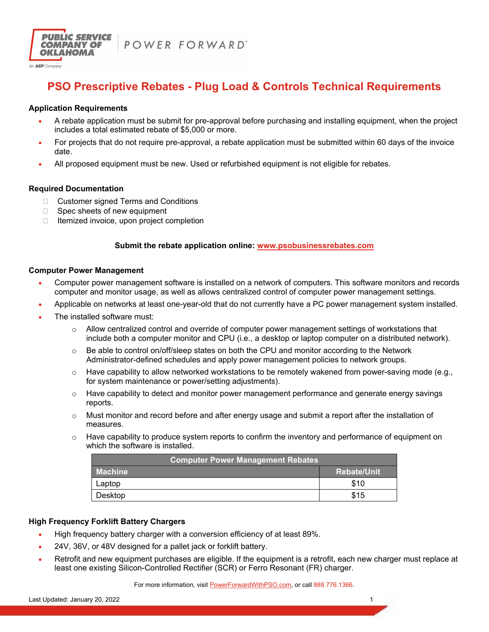

POWER FORWARD"

# **PSO Prescriptive Rebates - Plug Load & Controls Technical Requirements**

# **Application Requirements**

- A rebate application must be submit for pre-approval before purchasing and installing equipment, when the project includes a total estimated rebate of \$5,000 or more.
- For projects that do not require pre-approval, a rebate application must be submitted within 60 days of the invoice date.
- All proposed equipment must be new. Used or refurbished equipment is not eligible for rebates.

# **Required Documentation**

- □ Customer signed Terms and Conditions
- $\Box$  Spec sheets of new equipment
- $\Box$  Itemized invoice, upon project completion

# **Submit the rebate application online: www.psobusinessrebates.com**

#### **Computer Power Management**

- Computer power management software is installed on a network of computers. This software monitors and records computer and monitor usage, as well as allows centralized control of computer power management settings.
- Applicable on networks at least one-year-old that do not currently have a PC power management system installed.
- The installed software must:
	- Allow centralized control and override of computer power management settings of workstations that include both a computer monitor and CPU (i.e., a desktop or laptop computer on a distributed network).
	- $\circ$  Be able to control on/off/sleep states on both the CPU and monitor according to the Network Administrator-defined schedules and apply power management policies to network groups.
	- $\circ$  Have capability to allow networked workstations to be remotely wakened from power-saving mode (e.g., for system maintenance or power/setting adjustments).
	- $\circ$  Have capability to detect and monitor power management performance and generate energy savings reports.
	- $\circ$  Must monitor and record before and after energy usage and submit a report after the installation of measures.
	- $\circ$  Have capability to produce system reports to confirm the inventory and performance of equipment on which the software is installed.

| <b>Computer Power Management Rebates</b> |                    |  |
|------------------------------------------|--------------------|--|
| <b>Machine</b>                           | <b>Rebate/Unit</b> |  |
| Laptop                                   | \$10               |  |
| Desktop                                  | \$15               |  |

# **High Frequency Forklift Battery Chargers**

- High frequency battery charger with a conversion efficiency of at least 89%.
- 24V, 36V, or 48V designed for a pallet jack or forklift battery.
- Retrofit and new equipment purchases are eligible. If the equipment is a retrofit, each new charger must replace at least one existing Silicon-Controlled Rectifier (SCR) or Ferro Resonant (FR) charger.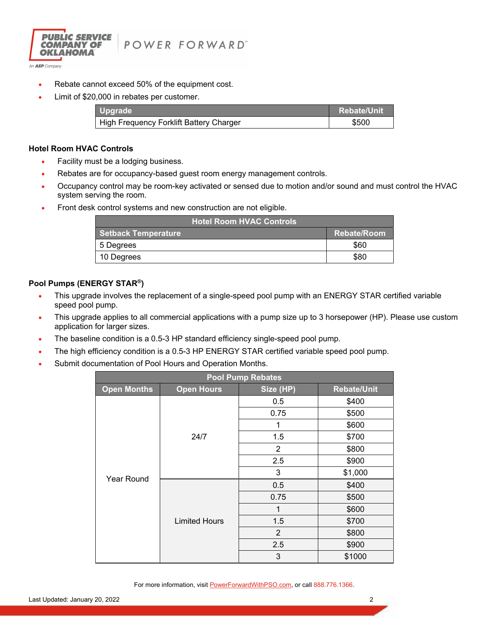

- Rebate cannot exceed 50% of the equipment cost.
- Limit of \$20,000 in rebates per customer.

| <b>Upgrade</b>                          | <b>Rebate/Unit</b> |
|-----------------------------------------|--------------------|
| High Frequency Forklift Battery Charger | \$500              |

#### **Hotel Room HVAC Controls**

- Facility must be a lodging business.
- Rebates are for occupancy-based guest room energy management controls.
- Occupancy control may be room-key activated or sensed due to motion and/or sound and must control the HVAC system serving the room.
- **Front desk control systems and new construction are not eligible.**

| Hotel Room HVAC Controls   |                    |
|----------------------------|--------------------|
| <b>Setback Temperature</b> | <b>Rebate/Room</b> |
| 5 Degrees                  | \$60               |
| 10 Degrees                 | \$80               |

# **Pool Pumps (ENERGY STAR®)**

- This upgrade involves the replacement of a single-speed pool pump with an ENERGY STAR certified variable speed pool pump.
- This upgrade applies to all commercial applications with a pump size up to 3 horsepower (HP). Please use custom application for larger sizes.
- The baseline condition is a 0.5-3 HP standard efficiency single-speed pool pump.
- The high efficiency condition is a 0.5-3 HP ENERGY STAR certified variable speed pool pump.
- Submit documentation of Pool Hours and Operation Months.

| <b>Pool Pump Rebates</b> |                      |                |                    |
|--------------------------|----------------------|----------------|--------------------|
| <b>Open Months</b>       | <b>Open Hours</b>    | Size (HP)      | <b>Rebate/Unit</b> |
|                          | 24/7                 | 0.5            | \$400              |
|                          |                      | 0.75           | \$500              |
|                          |                      | 1              | \$600              |
|                          |                      | 1.5            | \$700              |
|                          |                      | $\overline{2}$ | \$800              |
|                          |                      | 2.5            | \$900              |
|                          |                      | 3              | \$1,000            |
| <b>Year Round</b>        | <b>Limited Hours</b> | 0.5            | \$400              |
|                          |                      | 0.75           | \$500              |
|                          |                      | 1              | \$600              |
|                          |                      | 1.5            | \$700              |
|                          |                      | 2              | \$800              |
|                          |                      | 2.5            | \$900              |
|                          |                      | 3              | \$1000             |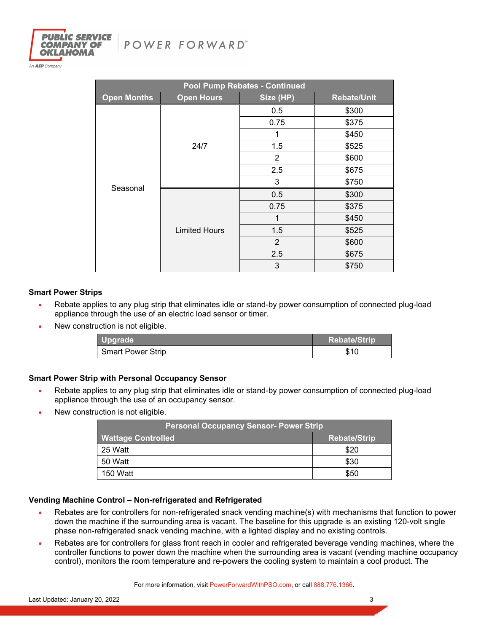



An **AEP** Company

| Pool Pump Rebates - Continued |                      |           |                    |
|-------------------------------|----------------------|-----------|--------------------|
| <b>Open Months</b>            | <b>Open Hours</b>    | Size (HP) | <b>Rebate/Unit</b> |
| Seasonal                      | 24/7                 | 0.5       | \$300              |
|                               |                      | 0.75      | \$375              |
|                               |                      | 1         | \$450              |
|                               |                      | 1.5       | \$525              |
|                               |                      | 2         | \$600              |
|                               |                      | 2.5       | \$675              |
|                               |                      | 3         | \$750              |
|                               | <b>Limited Hours</b> | 0.5       | \$300              |
|                               |                      | 0.75      | \$375              |
|                               |                      | 1         | \$450              |
|                               |                      | 1.5       | \$525              |
|                               |                      | 2         | \$600              |
|                               |                      | 2.5       | \$675              |
|                               |                      | 3         | \$750              |

# **Smart Power Strips**

- Rebate applies to any plug strip that eliminates idle or stand-by power consumption of connected plug-load appliance through the use of an electric load sensor or timer.
- New construction is not eligible.

| Upgrade                  | <b>Rebate/Strip</b> |
|--------------------------|---------------------|
| <b>Smart Power Strip</b> | \$10                |

# **Smart Power Strip with Personal Occupancy Sensor**

- Rebate applies to any plug strip that eliminates idle or stand-by power consumption of connected plug-load appliance through the use of an occupancy sensor.
- New construction is not eligible.

| <b>Personal Occupancy Sensor- Power Strip</b> |                     |  |
|-----------------------------------------------|---------------------|--|
| <b>Wattage Controlled</b>                     | <b>Rebate/Strip</b> |  |
| 25 Watt                                       | \$20                |  |
| 50 Watt                                       | \$30                |  |
| 150 Watt                                      | \$50                |  |

# **Vending Machine Control – Non-refrigerated and Refrigerated**

- Rebates are for controllers for non-refrigerated snack vending machine(s) with mechanisms that function to power down the machine if the surrounding area is vacant. The baseline for this upgrade is an existing 120-volt single phase non-refrigerated snack vending machine, with a lighted display and no existing controls.
- Rebates are for controllers for glass front reach in cooler and refrigerated beverage vending machines, where the controller functions to power down the machine when the surrounding area is vacant (vending machine occupancy control), monitors the room temperature and re-powers the cooling system to maintain a cool product. The